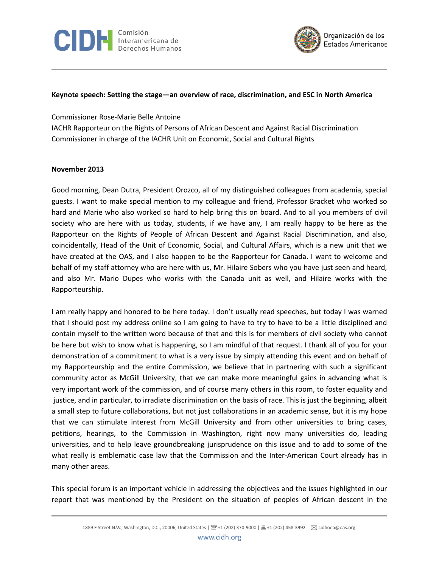



## **Keynote speech: Setting the stage—an overview of race, discrimination, and ESC in North America**

Commissioner Rose-Marie Belle Antoine IACHR Rapporteur on the Rights of Persons of African Descent and Against Racial Discrimination Commissioner in charge of the IACHR Unit on Economic, Social and Cultural Rights

## **November 2013**

Good morning, Dean Dutra, President Orozco, all of my distinguished colleagues from academia, special guests. I want to make special mention to my colleague and friend, Professor Bracket who worked so hard and Marie who also worked so hard to help bring this on board. And to all you members of civil society who are here with us today, students, if we have any, I am really happy to be here as the Rapporteur on the Rights of People of African Descent and Against Racial Discrimination, and also, coincidentally, Head of the Unit of Economic, Social, and Cultural Affairs, which is a new unit that we have created at the OAS, and I also happen to be the Rapporteur for Canada. I want to welcome and behalf of my staff attorney who are here with us, Mr. Hilaire Sobers who you have just seen and heard, and also Mr. Mario Dupes who works with the Canada unit as well, and Hilaire works with the Rapporteurship.

I am really happy and honored to be here today. I don't usually read speeches, but today I was warned that I should post my address online so I am going to have to try to have to be a little disciplined and contain myself to the written word because of that and this is for members of civil society who cannot be here but wish to know what is happening, so I am mindful of that request. I thank all of you for your demonstration of a commitment to what is a very issue by simply attending this event and on behalf of my Rapporteurship and the entire Commission, we believe that in partnering with such a significant community actor as McGill University, that we can make more meaningful gains in advancing what is very important work of the commission, and of course many others in this room, to foster equality and justice, and in particular, to irradiate discrimination on the basis of race. This is just the beginning, albeit a small step to future collaborations, but not just collaborations in an academic sense, but it is my hope that we can stimulate interest from McGill University and from other universities to bring cases, petitions, hearings, to the Commission in Washington, right now many universities do, leading universities, and to help leave groundbreaking jurisprudence on this issue and to add to some of the what really is emblematic case law that the Commission and the Inter-American Court already has in many other areas.

This special forum is an important vehicle in addressing the objectives and the issues highlighted in our report that was mentioned by the President on the situation of peoples of African descent in the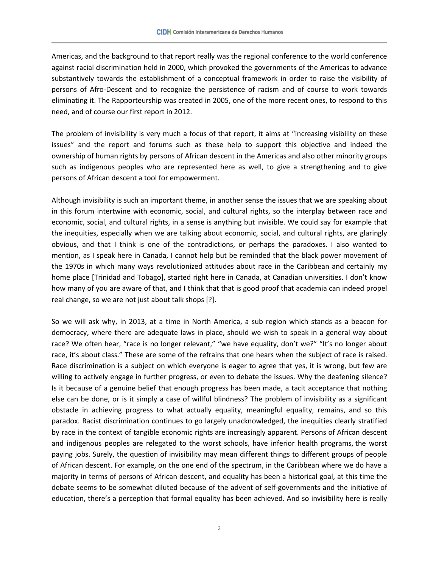Americas, and the background to that report really was the regional conference to the world conference against racial discrimination held in 2000, which provoked the governments of the Americas to advance substantively towards the establishment of a conceptual framework in order to raise the visibility of persons of Afro-Descent and to recognize the persistence of racism and of course to work towards eliminating it. The Rapporteurship was created in 2005, one of the more recent ones, to respond to this need, and of course our first report in 2012.

The problem of invisibility is very much a focus of that report, it aims at "increasing visibility on these issues" and the report and forums such as these help to support this objective and indeed the ownership of human rights by persons of African descent in the Americas and also other minority groups such as indigenous peoples who are represented here as well, to give a strengthening and to give persons of African descent a tool for empowerment.

Although invisibility is such an important theme, in another sense the issues that we are speaking about in this forum intertwine with economic, social, and cultural rights, so the interplay between race and economic, social, and cultural rights, in a sense is anything but invisible. We could say for example that the inequities, especially when we are talking about economic, social, and cultural rights, are glaringly obvious, and that I think is one of the contradictions, or perhaps the paradoxes. I also wanted to mention, as I speak here in Canada, I cannot help but be reminded that the black power movement of the 1970s in which many ways revolutionized attitudes about race in the Caribbean and certainly my home place [Trinidad and Tobago], started right here in Canada, at Canadian universities. I don't know how many of you are aware of that, and I think that that is good proof that academia can indeed propel real change, so we are not just about talk shops [?].

So we will ask why, in 2013, at a time in North America, a sub region which stands as a beacon for democracy, where there are adequate laws in place, should we wish to speak in a general way about race? We often hear, "race is no longer relevant," "we have equality, don't we?" "It's no longer about race, it's about class." These are some of the refrains that one hears when the subject of race is raised. Race discrimination is a subject on which everyone is eager to agree that yes, it is wrong, but few are willing to actively engage in further progress, or even to debate the issues. Why the deafening silence? Is it because of a genuine belief that enough progress has been made, a tacit acceptance that nothing else can be done, or is it simply a case of willful blindness? The problem of invisibility as a significant obstacle in achieving progress to what actually equality, meaningful equality, remains, and so this paradox. Racist discrimination continues to go largely unacknowledged, the inequities clearly stratified by race in the context of tangible economic rights are increasingly apparent. Persons of African descent and indigenous peoples are relegated to the worst schools, have inferior health programs, the worst paying jobs. Surely, the question of invisibility may mean different things to different groups of people of African descent. For example, on the one end of the spectrum, in the Caribbean where we do have a majority in terms of persons of African descent, and equality has been a historical goal, at this time the debate seems to be somewhat diluted because of the advent of self-governments and the initiative of education, there's a perception that formal equality has been achieved. And so invisibility here is really